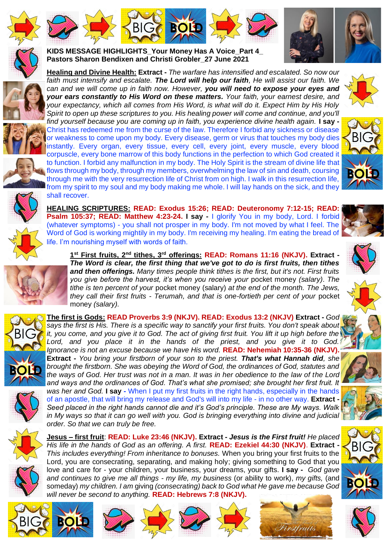







*your expectancy, which all comes from His Word, is what will do it. Expect Him by His Holy Spirit to open up these scriptures to you. His healing power will come and continue, and you'll find yourself because you are coming up in faith, you experience divine health again.* **I say -** Christ has redeemed me from the curse of the law. Therefore I forbid any sickness or disease or weakness to come upon my body. Every disease, germ or virus that touches my body dies instantly. Every organ, every tissue, every cell, every joint, every muscle, every blood corpuscle, every bone marrow of this body functions in the perfection to which God created it to function. I forbid any malfunction in my body. The Holy Spirit is the stream of divine life that flows through my body, through my members, overwhelming the law of sin and death, coursing through me with the very resurrection life of Christ from on high. I walk in this resurrection life, from my spirit to my soul and my body making me whole. I will lay hands on the sick, and they shall recover.

*can and we will come up in faith now. However, you will need to expose your eyes and your ears constantly to His Word on these matters. Your faith, your earnest desire, and* 

**KIDS MESSAGE HIGHLIGHTS\_Your Money Has A Voice\_Part 4\_ Pastors Sharon Bendixen and Christi Grobler\_27 June 2021** 

**BIG <b>BOLD** 









**HEALING SCRIPTURES: READ: Exodus 15:26; READ: Deuteronomy 7:12-15; READ: Psalm 105:37; READ: Matthew 4:23-24. I say -** I glorify You in my body, Lord. I forbid (whatever symptoms) - you shall not prosper in my body. I'm not moved by what I feel. The Word of God is working mightily in my body. I'm receiving my healing. I'm eating the bread of life. I'm nourishing myself with words of faith.





*and then offerings. Many times people think tithes is the first, but it's not. First fruits you give before the harvest, it's when you receive your* pocket money *(salary)*. *The tithe is ten percent of your* pocket money (salary) *at the end of the month. The Jews, they call their first fruits - Terumah, and that is one-fortieth per cent of your* pocket money *(salary).* **The first is Gods: READ Proverbs 3:9 (NKJV). READ: Exodus 13:2 (NKJV) Extract -** *God says the first is His. There is a specific way to sanctify your first fruits. You don't speak about* 

*it, you come, and you give it to God. The act of giving first fruit. You lift it up high before the Lord, and you place it in the hands of the priest, and you give it to God. Ignorance is not an excuse because we have His word.* **READ: Nehemiah 10:35-36 (NKJV). Extract -** *You bring your firstborn of your son to the priest. That's what Hannah did, she brought the firstborn. She was obeying the Word of God, the ordinances of God, statutes and the ways of God. Her trust was not in a man. It was in her obedience to the law of the Lord and ways and the ordinances of God. That's what she promised; she brought her first fruit. It was her and God.* **I say -** When I put my first fruits in the right hands, especially in the hands of an apostle, that will bring my release and God's will into my life - in no other way. **Extract -** *Seed placed in the right hands cannot die and it's God's principle. These are My ways. Walk* 



**BIG <b>BOLD** 

**Jesus – first fruit**: **READ: Luke 23:46 (NKJV). Extract -** *Jesus is the First fruit! He placed His life in the hands of God as an offering. A first.* **READ: Ezekiel 44:30 (NKJV)**. **Extract -** *This includes everything! From inheritance to bonuses.* When you bring your first fruits to the Lord, you are consecrating, separating, and making holy; giving something to God that you love and care for - your children, your business, your dreams, your gifts. **I say -** *God gave and continues to give me all things - my life, my business* (or ability to work), *my gifts,* (and someday) *my children. I am* giving *(consecrating) back to God what He gave me because God will never be second to anything.* **READ: Hebrews 7:8 (NKJV).**





rstfruits